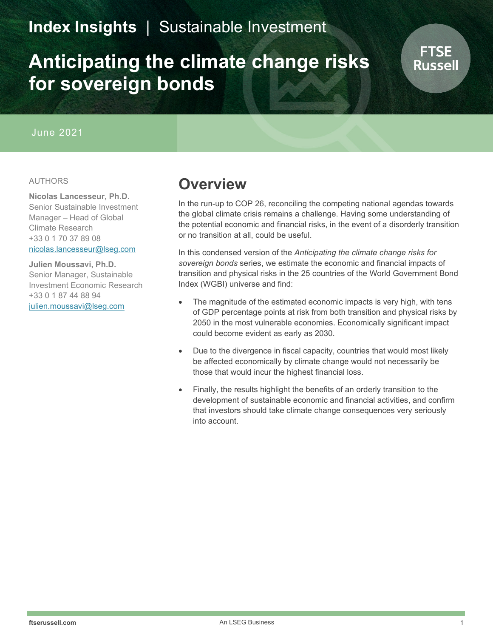### **Index Insights** | Sustainable Investment

# **Anticipating the climate change risks for sovereign bonds**

#### June 2021

#### AUTHORS

**Nicolas Lancesseur, Ph.D.** Senior Sustainable Investment Manager – Head of Global Climate Research +33 0 1 70 37 89 08 [nicolas.lancesseur@lseg.com](mailto:Nicolas.lancesseur@lseg.com)

**Julien Moussavi, Ph.D.** Senior Manager, Sustainable Investment Economic Research +33 0 1 87 44 88 94 [julien.moussavi@lseg.com](mailto:julien.moussavi@lseg.com)

### **Overview**

In the run-up to COP 26, reconciling the competing national agendas towards the global climate crisis remains a challenge. Having some understanding of the potential economic and financial risks, in the event of a disorderly transition or no transition at all, could be useful.

In this condensed version of the *Anticipating the climate change risks for sovereign bonds* series, we estimate the economic and financial impacts of transition and physical risks in the 25 countries of the World Government Bond Index (WGBI) universe and find:

- The magnitude of the estimated economic impacts is very high, with tens of GDP percentage points at risk from both transition and physical risks by 2050 in the most vulnerable economies. Economically significant impact could become evident as early as 2030.
- Due to the divergence in fiscal capacity, countries that would most likely be affected economically by climate change would not necessarily be those that would incur the highest financial loss.
- Finally, the results highlight the benefits of an orderly transition to the development of sustainable economic and financial activities, and confirm that investors should take climate change consequences very seriously into account.

FTSE Russell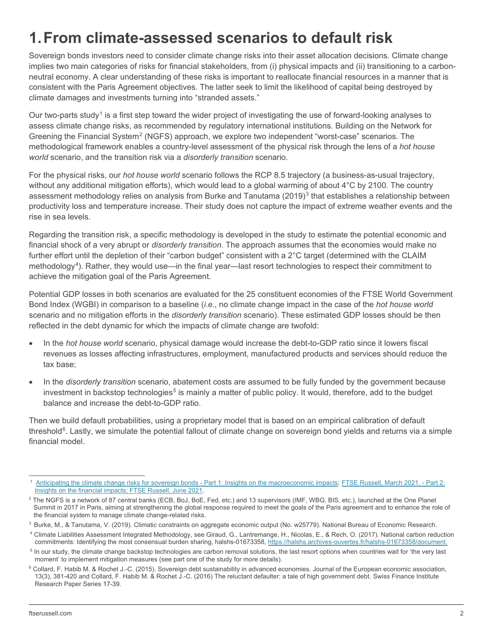# **1.From climate-assessed scenarios to default risk**

Sovereign bonds investors need to consider climate change risks into their asset allocation decisions. Climate change implies two main categories of risks for financial stakeholders, from (i) physical impacts and (ii) transitioning to a carbonneutral economy. A clear understanding of these risks is important to reallocate financial resources in a manner that is consistent with the Paris Agreement objectives. The latter seek to limit the likelihood of capital being destroyed by climate damages and investments turning into "stranded assets."

Our two-parts study<sup>[1](#page-1-0)</sup> is a first step toward the wider project of investigating the use of forward-looking analyses to assess climate change risks, as recommended by regulatory international institutions. Building on the Network for Greening the Financial System<sup>[2](#page-1-1)</sup> (NGFS) approach, we explore two independent "worst-case" scenarios. The methodological framework enables a country-level assessment of the physical risk through the lens of a *hot house world* scenario, and the transition risk via a *disorderly transition* scenario.

For the physical risks, our *hot house world* scenario follows the RCP 8.5 trajectory (a business-as-usual trajectory, without any additional mitigation efforts), which would lead to a global warming of about 4°C by 2100. The country assessment methodology relies on analysis from Burke and Tanutama (2019)<sup>[3](#page-1-2)</sup> that establishes a relationship between productivity loss and temperature increase. Their study does not capture the impact of extreme weather events and the rise in sea levels.

Regarding the transition risk, a specific methodology is developed in the study to estimate the potential economic and financial shock of a very abrupt or *disorderly transition*. The approach assumes that the economies would make no further effort until the depletion of their "carbon budget" consistent with a 2°C target (determined with the CLAIM methodology<sup>[4](#page-1-3)</sup>). Rather, they would use—in the final year—last resort technologies to respect their commitment to achieve the mitigation goal of the Paris Agreement.

Potential GDP losses in both scenarios are evaluated for the 25 constituent economies of the FTSE World Government Bond Index (WGBI) in comparison to a baseline (*i.e.*, no climate change impact in the case of the *hot house world* scenario and no mitigation efforts in the *disorderly transition* scenario). These estimated GDP losses should be then reflected in the debt dynamic for which the impacts of climate change are twofold:

- In the *hot house world* scenario, physical damage would increase the debt-to-GDP ratio since it lowers fiscal revenues as losses affecting infrastructures, employment, manufactured products and services should reduce the tax base;
- In the *disorderly transition* scenario, abatement costs are assumed to be fully funded by the government because investment in backstop technologies<sup>[5](#page-1-4)</sup> is mainly a matter of public policy. It would, therefore, add to the budget balance and increase the debt-to-GDP ratio.

Then we build default probabilities, using a proprietary model that is based on an empirical calibration of default threshold $6$ . Lastly, we simulate the potential fallout of climate change on sovereign bond yields and returns via a simple financial model.

<span id="page-1-0"></span><sup>1</sup> [Anticipating the climate change risks for sovereign bonds](https://www.ftserussell.com/research/anticipating-climate-change-risks-sovereign-bonds) - Part 1: Insights on the macroeconomic impacts[; FTSE Russell, March 2021. -](https://www.ftserussell.com/research/si-indexes-top-down-targets-or-bottom-aesthetics) Part 2: [Insights on the financial impacts; FTSE Russell, June 2021.](https://www.ftserussell.com/research/si-indexes-top-down-targets-or-bottom-aesthetics)

<span id="page-1-1"></span><sup>&</sup>lt;sup>2</sup> The NGFS is a network of 87 central banks (ECB, BoJ, BoE, Fed, etc.) and 13 supervisors (IMF, WBG, BIS, etc.), launched at the One Planet Summit in 2017 in Paris, aiming at strengthening the global response required to meet the goals of the Paris agreement and to enhance the role of the financial system to manage climate change-related risks.

<span id="page-1-2"></span><sup>3</sup> Burke, M., & Tanutama, V. (2019). Climatic constraints on aggregate economic output (No. w25779). National Bureau of Economic Research.

<span id="page-1-3"></span><sup>4</sup> Climate Liabilities Assessment Integrated Methodology, see Giraud, G., Lantremange, H., Nicolas, E., & Rech, O. (2017). National carbon reduction commitments: Identifying the most consensual burden sharing, halshs-01673358, [https://halshs.archives-ouvertes.fr/halshs-01673358/document.](https://halshs.archives-ouvertes.fr/halshs-01673358/document)

<span id="page-1-4"></span><sup>&</sup>lt;sup>5</sup> In our study, the climate change backstop technologies are carbon removal solutions, the last resort options when countries wait for 'the very last moment' to implement mitigation measures (see part one of the study for more details).

<span id="page-1-5"></span> $6$  Collard, F. Habib M. & Rochet J.-C. (2015). Sovereign debt sustainability in advanced economies. Journal of the European economic association, 13(3), 381-420 and Collard, F. Habib M. & Rochet J.-C. (2016) The reluctant defaulter: a tale of high government debt. Swiss Finance Institute Research Paper Series 17-39.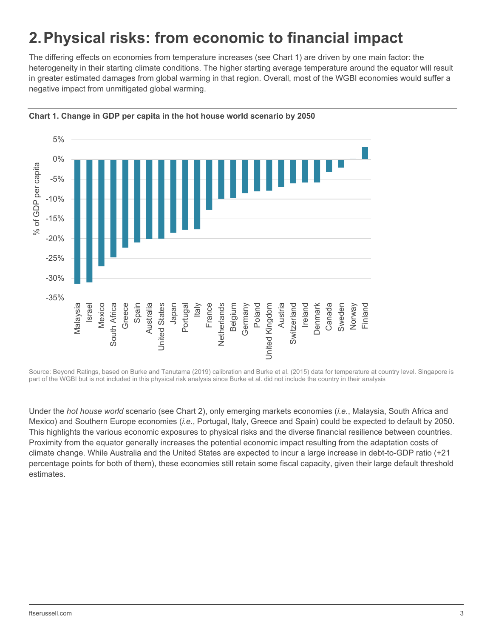### **2.Physical risks: from economic to financial impact**

The differing effects on economies from temperature increases (see Chart 1) are driven by one main factor: the heterogeneity in their starting climate conditions. The higher starting average temperature around the equator will result in greater estimated damages from global warming in that region. Overall, most of the WGBI economies would suffer a negative impact from unmitigated global warming.





Source: Beyond Ratings, based on Burke and Tanutama (2019) calibration and Burke et al. (2015) data for temperature at country level. Singapore is part of the WGBI but is not included in this physical risk analysis since Burke et al. did not include the country in their analysis

Under the *hot house world* scenario (see Chart 2), only emerging markets economies (*i.e.*, Malaysia, South Africa and Mexico) and Southern Europe economies (*i.e.*, Portugal, Italy, Greece and Spain) could be expected to default by 2050. This highlights the various economic exposures to physical risks and the diverse financial resilience between countries. Proximity from the equator generally increases the potential economic impact resulting from the adaptation costs of climate change. While Australia and the United States are expected to incur a large increase in debt-to-GDP ratio (+21 percentage points for both of them), these economies still retain some fiscal capacity, given their large default threshold estimates.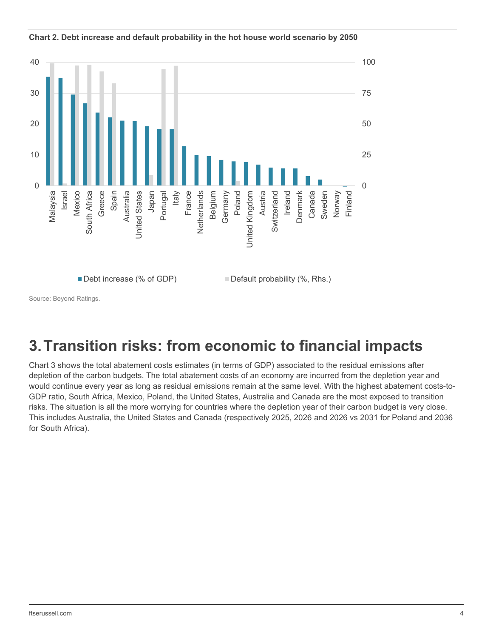

**Chart 2. Debt increase and default probability in the hot house world scenario by 2050**

Source: Beyond Ratings.

## **3.Transition risks: from economic to financial impacts**

Chart 3 shows the total abatement costs estimates (in terms of GDP) associated to the residual emissions after depletion of the carbon budgets. The total abatement costs of an economy are incurred from the depletion year and would continue every year as long as residual emissions remain at the same level. With the highest abatement costs-to-GDP ratio, South Africa, Mexico, Poland, the United States, Australia and Canada are the most exposed to transition risks. The situation is all the more worrying for countries where the depletion year of their carbon budget is very close. This includes Australia, the United States and Canada (respectively 2025, 2026 and 2026 vs 2031 for Poland and 2036 for South Africa).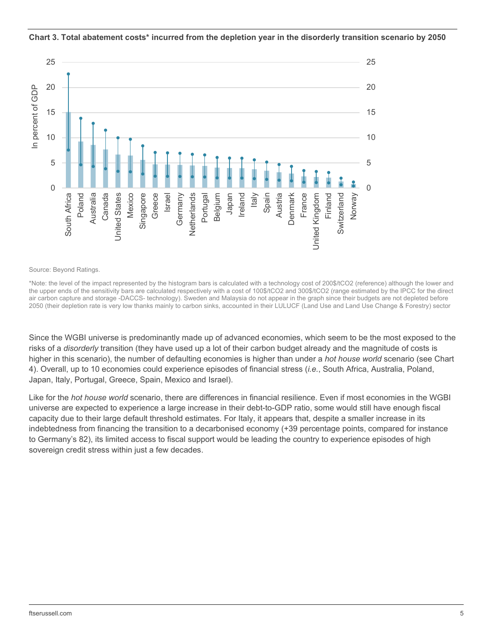

#### **Chart 3. Total abatement costs\* incurred from the depletion year in the disorderly transition scenario by 2050**

Source: Beyond Ratings.

\*Note: the level of the impact represented by the histogram bars is calculated with a technology cost of 200\$/tCO2 (reference) although the lower and the upper ends of the sensitivity bars are calculated respectively with a cost of 100\$/tCO2 and 300\$/tCO2 (range estimated by the IPCC for the direct air carbon capture and storage -DACCS- technology). Sweden and Malaysia do not appear in the graph since their budgets are not depleted before 2050 (their depletion rate is very low thanks mainly to carbon sinks, accounted in their LULUCF (Land Use and Land Use Change & Forestry) sector

Since the WGBI universe is predominantly made up of advanced economies, which seem to be the most exposed to the risks of a *disorderly* transition (they have used up a lot of their carbon budget already and the magnitude of costs is higher in this scenario), the number of defaulting economies is higher than under a *hot house world* scenario (see Chart 4). Overall, up to 10 economies could experience episodes of financial stress (*i.e.*, South Africa, Australia, Poland, Japan, Italy, Portugal, Greece, Spain, Mexico and Israel).

Like for the *hot house world* scenario, there are differences in financial resilience. Even if most economies in the WGBI universe are expected to experience a large increase in their debt-to-GDP ratio, some would still have enough fiscal capacity due to their large default threshold estimates. For Italy, it appears that, despite a smaller increase in its indebtedness from financing the transition to a decarbonised economy (+39 percentage points, compared for instance to Germany's 82), its limited access to fiscal support would be leading the country to experience episodes of high sovereign credit stress within just a few decades.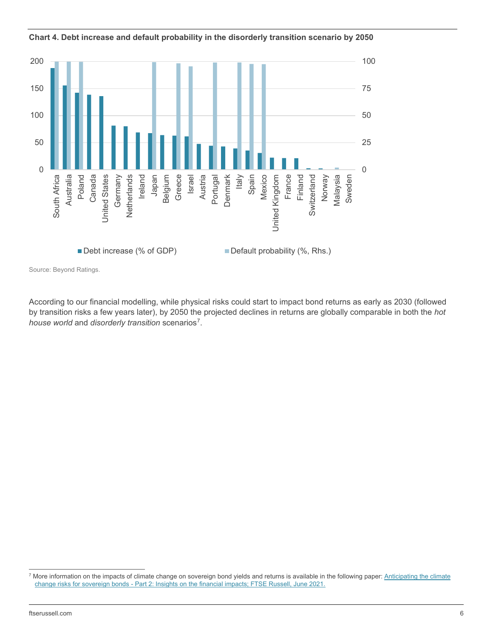



Source: Beyond Ratings.

According to our financial modelling, while physical risks could start to impact bond returns as early as 2030 (followed by transition risks a few years later), by 2050 the projected declines in returns are globally comparable in both the *hot house world* and *disorderly transition* scenarios[7.](#page-5-0)

<span id="page-5-0"></span><sup>&</sup>lt;sup>7</sup> More information on the impacts of climate change on sovereign bond yields and returns is available in the following paper: Anticipating the climate change risks for sovereign bonds - [Part 2: Insights on the financial impacts; FTSE Russell, June 2021.](https://www.ftserussell.com/research/si-indexes-top-down-targets-or-bottom-aesthetics)